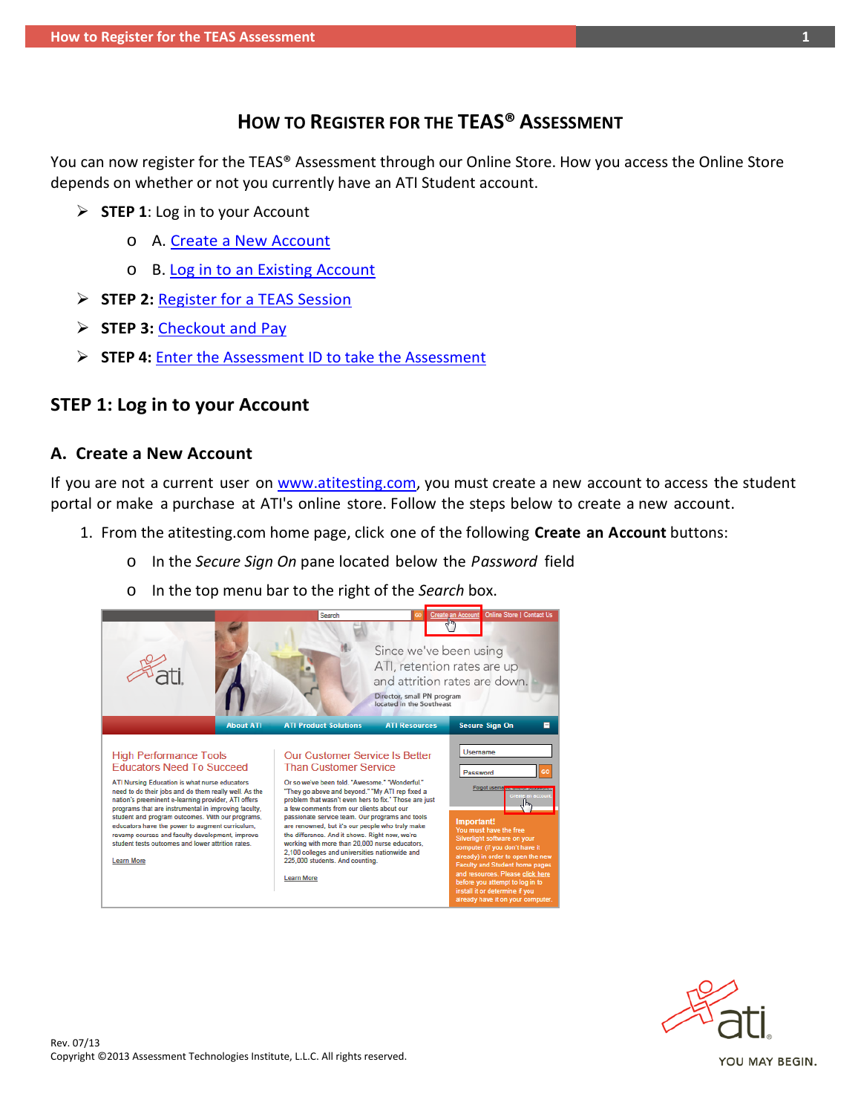# **HOW TO REGISTER FOR THE TEAS® ASSESSMENT**

<span id="page-0-1"></span>You can now register for the TEAS® Assessment through our Online Store. How you access the Online Store depends on whether or not you currently have an ATI Student account.

- **STEP 1**: Log in to your Account
	- o A. [Create a New Account](#page-0-0)
	- o B. Log in to [an Existing](#page-2-0) Account
- **STEP 2:** [Register for a TEAS Session](#page-3-0)
- **STEP 3:** [Checkout and Pay](#page-7-0)
- **STEP 4:** [Enter the Assessment ID to take the Assessment](#page-11-0)

### **STEP 1: Log in to your Account**

### <span id="page-0-0"></span>**A. Create a New Account**

If you are not a current user on [www.atitesting.com,](http://www.atitesting.com/) you must create a new account to access the student portal or make a purchase at ATI's online store. Follow the steps below to create a new account.

- 1. From the atitesting.com home page, click one of the following **Create an Account** buttons:
	- o In the *Secure Sign On* pane located below the *Password* field
	- o In the top menu bar to the right of the *Search* box.



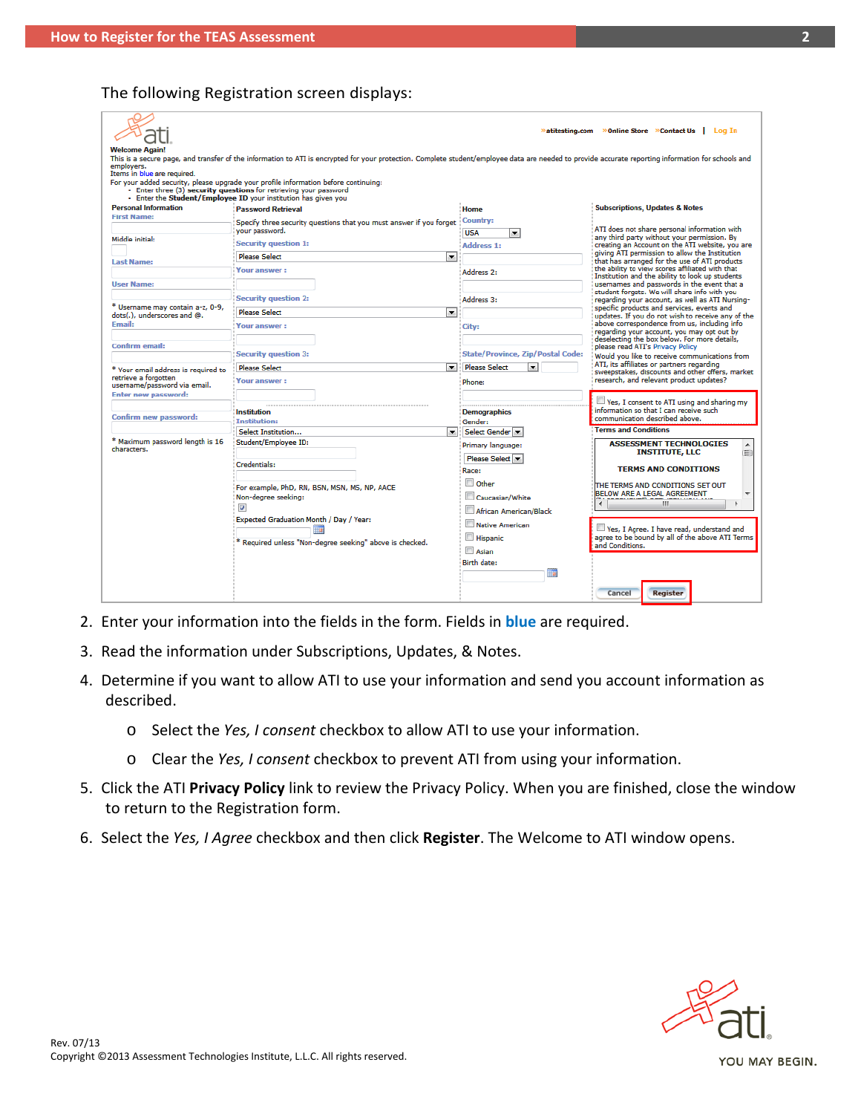### The following Registration screen displays:

|                                                                 |                                                                                                                                                                                                     |                                                  | <b>»atitesting.com</b> »Online Store »Contact Us   Log In                                        |  |  |
|-----------------------------------------------------------------|-----------------------------------------------------------------------------------------------------------------------------------------------------------------------------------------------------|--------------------------------------------------|--------------------------------------------------------------------------------------------------|--|--|
| <b>Welcome Again!</b>                                           |                                                                                                                                                                                                     |                                                  |                                                                                                  |  |  |
|                                                                 | This is a secure page, and transfer of the information to ATI is encrypted for your protection. Complete student/employee data are needed to provide accurate reporting information for schools and |                                                  |                                                                                                  |  |  |
| emplovers.                                                      |                                                                                                                                                                                                     |                                                  |                                                                                                  |  |  |
| Items in blue are required.                                     |                                                                                                                                                                                                     |                                                  |                                                                                                  |  |  |
|                                                                 | For your added security, please upgrade your profile information before continuing:                                                                                                                 |                                                  |                                                                                                  |  |  |
|                                                                 | - Enter three (3) security questions for retrieving your password<br>- Enter the Student/Employee ID your institution has given you                                                                 |                                                  |                                                                                                  |  |  |
| <b>Personal Information</b>                                     | <b>Password Retrieval</b>                                                                                                                                                                           | Home                                             | <b>Subscriptions, Updates &amp; Notes</b>                                                        |  |  |
| <b>First Name:</b>                                              | Specify three security questions that you must answer if you forget                                                                                                                                 | Country:                                         |                                                                                                  |  |  |
|                                                                 | your password.                                                                                                                                                                                      | <b>USA</b><br>$\overline{\phantom{a}}$           | ATI does not share personal information with                                                     |  |  |
| Middle initial:                                                 | <b>Security question 1:</b>                                                                                                                                                                         | Address 1:                                       | any third party without your permission. By<br>creating an Account on the ATI website, you are   |  |  |
|                                                                 | <b>Please Select</b><br>$\overline{\phantom{a}}$                                                                                                                                                    |                                                  | giving ATI permission to allow the Institution                                                   |  |  |
| <b>Last Name:</b>                                               |                                                                                                                                                                                                     |                                                  | that has arranged for the use of ATI products<br>the ability to view scores affiliated with that |  |  |
|                                                                 | Your answer:                                                                                                                                                                                        | Address 2:                                       | Institution and the ability to look up students                                                  |  |  |
| <b>User Name:</b>                                               |                                                                                                                                                                                                     |                                                  | usernames and passwords in the event that a                                                      |  |  |
|                                                                 | <b>Security auestion 2:</b>                                                                                                                                                                         | Address 3:                                       | student forgets. We will share info with you<br>regarding your account, as well as ATI Nursing-  |  |  |
| * Username may contain a-z, 0-9,<br>dots(.), underscores and @. | <b>Please Select</b><br>$\overline{\phantom{a}}$                                                                                                                                                    |                                                  | specific products and services, events and<br>updates. If you do not wish to receive any of the  |  |  |
| <b>Email:</b>                                                   | <b>Your answer:</b>                                                                                                                                                                                 | City:                                            | above correspondence from us, including info                                                     |  |  |
|                                                                 |                                                                                                                                                                                                     |                                                  | regarding your account, you may opt out by<br>deselecting the box below. For more details,       |  |  |
| Confirm email:                                                  |                                                                                                                                                                                                     |                                                  | please read ATI's Privacy Policy                                                                 |  |  |
|                                                                 | <b>Security question 3:</b>                                                                                                                                                                         | <b>State/Province, Zip/Postal Code:</b>          | Would you like to receive communications from                                                    |  |  |
| * Your email address is required to                             | <b>Please Select</b><br>$\overline{\phantom{a}}$                                                                                                                                                    | <b>Please Select</b><br>$\overline{\phantom{a}}$ | ATI, its affiliates or partners regarding<br>sweepstakes, discounts and other offers, market     |  |  |
| retrieve a forgotten<br>username/password via email.            | Your answer:                                                                                                                                                                                        | Phone:                                           | research, and relevant product updates?                                                          |  |  |
| <b>Enter new password:</b>                                      |                                                                                                                                                                                                     |                                                  | Yes, I consent to ATI using and sharing my                                                       |  |  |
|                                                                 | Institution                                                                                                                                                                                         | <b>Demographics</b>                              | information so that I can receive such                                                           |  |  |
| Confirm new password:                                           | <b>Institution:</b>                                                                                                                                                                                 | Gender:                                          | communication described above.                                                                   |  |  |
|                                                                 | Select Institution<br>$\bullet$                                                                                                                                                                     | Select Gender                                    | <b>Terms and Conditions</b>                                                                      |  |  |
| * Maximum password length is 16                                 | Student/Employee ID:                                                                                                                                                                                | Primary language:                                | <b>ASSESSMENT TECHNOLOGIES</b>                                                                   |  |  |
| characters.                                                     |                                                                                                                                                                                                     | Please Select v                                  | <b>INSTITUTE, LLC</b><br>E                                                                       |  |  |
|                                                                 | Credentials:                                                                                                                                                                                        | Race:                                            | <b>TERMS AND CONDITIONS</b>                                                                      |  |  |
|                                                                 |                                                                                                                                                                                                     | $\Box$ Other                                     | THE TERMS AND CONDITIONS SET OUT                                                                 |  |  |
|                                                                 | For example, PhD, RN, BSN, MSN, MS, NP, AACE                                                                                                                                                        |                                                  | <b>BELOW ARE A LEGAL AGREEMENT</b>                                                               |  |  |
|                                                                 | Non-degree seeking:                                                                                                                                                                                 | Caucasian/White                                  | m.                                                                                               |  |  |
|                                                                 | $\overline{\mathbf{v}}$                                                                                                                                                                             | African American/Black                           |                                                                                                  |  |  |
|                                                                 | Expected Graduation Month / Day / Year:                                                                                                                                                             | Native American                                  | Ves, I Agree. I have read, understand and                                                        |  |  |
|                                                                 |                                                                                                                                                                                                     | Hispanic                                         | agree to be bound by all of the above ATI Terms                                                  |  |  |
|                                                                 | * Reguired unless "Non-degree seeking" above is checked.                                                                                                                                            | Asian                                            | and Conditions.                                                                                  |  |  |
|                                                                 |                                                                                                                                                                                                     | <b>Birth date:</b>                               |                                                                                                  |  |  |
|                                                                 |                                                                                                                                                                                                     | <b>Har</b>                                       |                                                                                                  |  |  |
|                                                                 |                                                                                                                                                                                                     |                                                  |                                                                                                  |  |  |
|                                                                 |                                                                                                                                                                                                     |                                                  | <b>Register</b><br>Cancel                                                                        |  |  |
|                                                                 |                                                                                                                                                                                                     |                                                  |                                                                                                  |  |  |

- 2. Enter your information into the fields in the form. Fields in **blue** are required.
- 3. Read the information under Subscriptions, Updates, & Notes.
- 4. Determine if you want to allow ATI to use your information and send you account information as described.
	- o Select the *Yes, I consent* checkbox to allow ATI to use your information.
	- o Clear the *Yes, I consent* checkbox to prevent ATI from using your information.
- 5. Click the ATI **Privacy Policy** link to review the Privacy Policy. When you are finished, close the window to return to the Registration form.
- 6. Select the *Yes, I Agree* checkbox and then click **Register**. The Welcome to ATI window opens.



Rev. 07/13<br>Copyright ©2013 Assessment Technologies Institute, L.L.C. All rights reserved.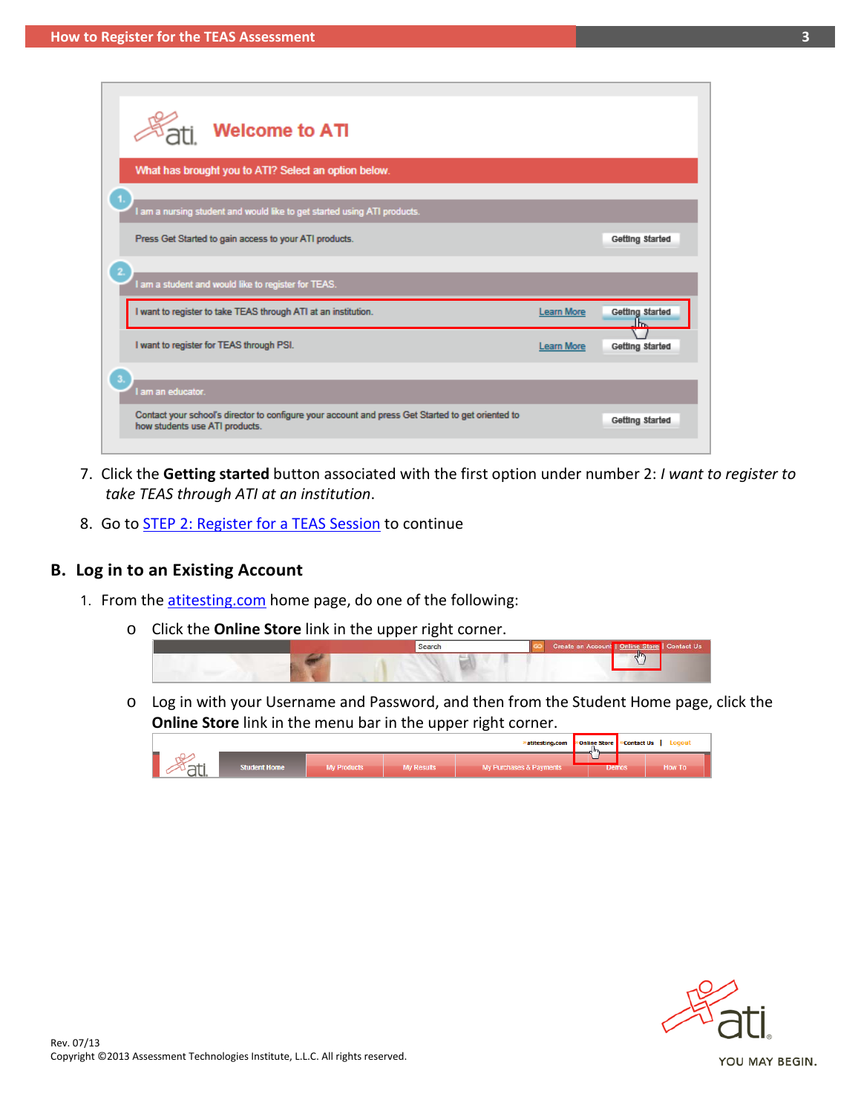| <b>Welcome to ATI</b>                                                                                                               |                   |                 |
|-------------------------------------------------------------------------------------------------------------------------------------|-------------------|-----------------|
| What has brought you to ATI? Select an option below.                                                                                |                   |                 |
| I am a nursing student and would like to get started using ATI products.                                                            |                   |                 |
| Press Get Started to gain access to your ATI products.                                                                              |                   | Getting Started |
| am a student and would like to register for TEAS.                                                                                   |                   |                 |
| I want to register to take TEAS through ATI at an institution.                                                                      | <b>Learn More</b> | Getting Started |
| I want to register for TEAS through PSI.                                                                                            | <b>Learn More</b> | Getting Started |
| am an educator.                                                                                                                     |                   |                 |
| Contact your school's director to configure your account and press Get Started to get oriented to<br>how students use ATI products. |                   | Getting Started |

- 7. Click the **Getting started** button associated with the first option under number 2: *I want to register to take TEAS through ATI at an institution*.
- 8. Go to **STEP 2: Register for a TEAS Session** to continue

### <span id="page-2-0"></span>**B. Log in to an Existing Account**

- 1. From the [atitesting.com](https://www.atitesting.com/Home.aspx) home page, do one of the following:
	- o Click the **Online Store** link in the upper right corner.



o Log in with your Username and Password, and then from the Student Home page, click the **Online Store** link in the menu bar in the upper right corner.



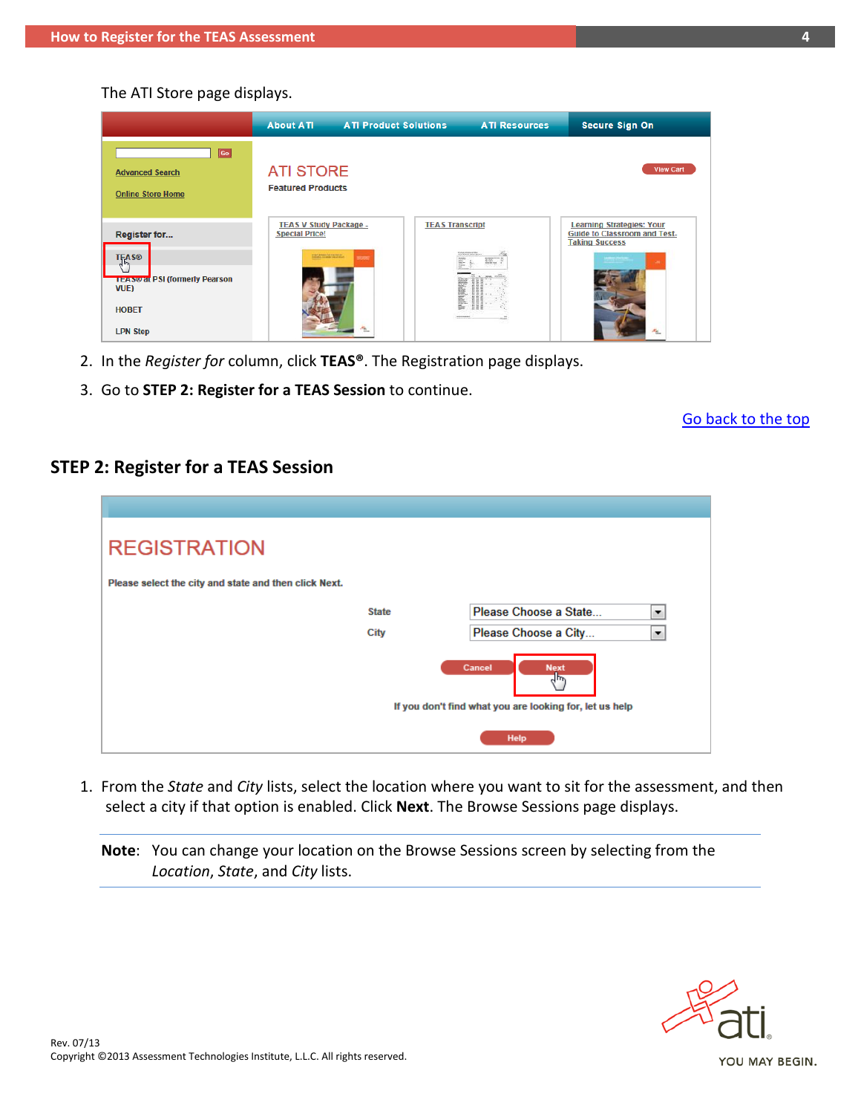The ATI Store page displays.

|                                                                                      | <b>About ATI</b>                                                                          | <b>ATI Product Solutions</b> |                                                                        | <b>ATI Resources</b> | <b>Secure Sign On</b>                                                                            |                   |
|--------------------------------------------------------------------------------------|-------------------------------------------------------------------------------------------|------------------------------|------------------------------------------------------------------------|----------------------|--------------------------------------------------------------------------------------------------|-------------------|
| $\boxed{Go}$<br><b>Advanced Search</b><br><b>Online Store Home</b>                   | <b>ATI STORE</b><br><b>Featured Products</b>                                              |                              |                                                                        |                      |                                                                                                  | <b>View Cart</b>  |
| Register for<br><b>TEAS®</b><br><b>TEAS® at PSI (formerly Pearson</b><br><b>VUE)</b> | <b>TEAS V Study Package -</b><br><b>Special Price!</b><br><b>TOM AMARK FOR THE RIFLIN</b> | m                            | <b>TEAS Transcript</b><br><b>ESCRATIVISTATIVO</b><br>監<br><b>RANGE</b> | m. F                 | <b>Learning Strategies: Your</b><br><b>Guide to Classroom and Test-</b><br><b>Taking Success</b> | <b>College</b>    |
| <b>HOBET</b><br><b>LPN Step</b>                                                      |                                                                                           | Alex                         |                                                                        |                      |                                                                                                  | $\sigma_{\rm NL}$ |

- <span id="page-3-0"></span>2. In the *Register for* column, click **TEAS®**. The Registration page displays.
- 3. Go to **STEP 2: Register for a TEAS Session** to continue.

### [Go back to the top](#page-0-1)

## **STEP 2: Register for a TEAS Session**

| <b>REGISTRATION</b>                                   |              |                                                                                            |   |
|-------------------------------------------------------|--------------|--------------------------------------------------------------------------------------------|---|
| Please select the city and state and then click Next. |              |                                                                                            |   |
|                                                       | <b>State</b> | Please Choose a State                                                                      | ▼ |
|                                                       | <b>City</b>  | Please Choose a City                                                                       | ▼ |
|                                                       |              | Cancel<br><b>Next</b><br>$4\mu$<br>If you don't find what you are looking for, let us help |   |
|                                                       |              | Help                                                                                       |   |

1. From the *State* and *City* lists, select the location where you want to sit for the assessment, and then select a city if that option is enabled. Click **Next**. The Browse Sessions page displays.

**Note**: You can change your location on the Browse Sessions screen by selecting from the *Location*, *State*, and *City* lists.

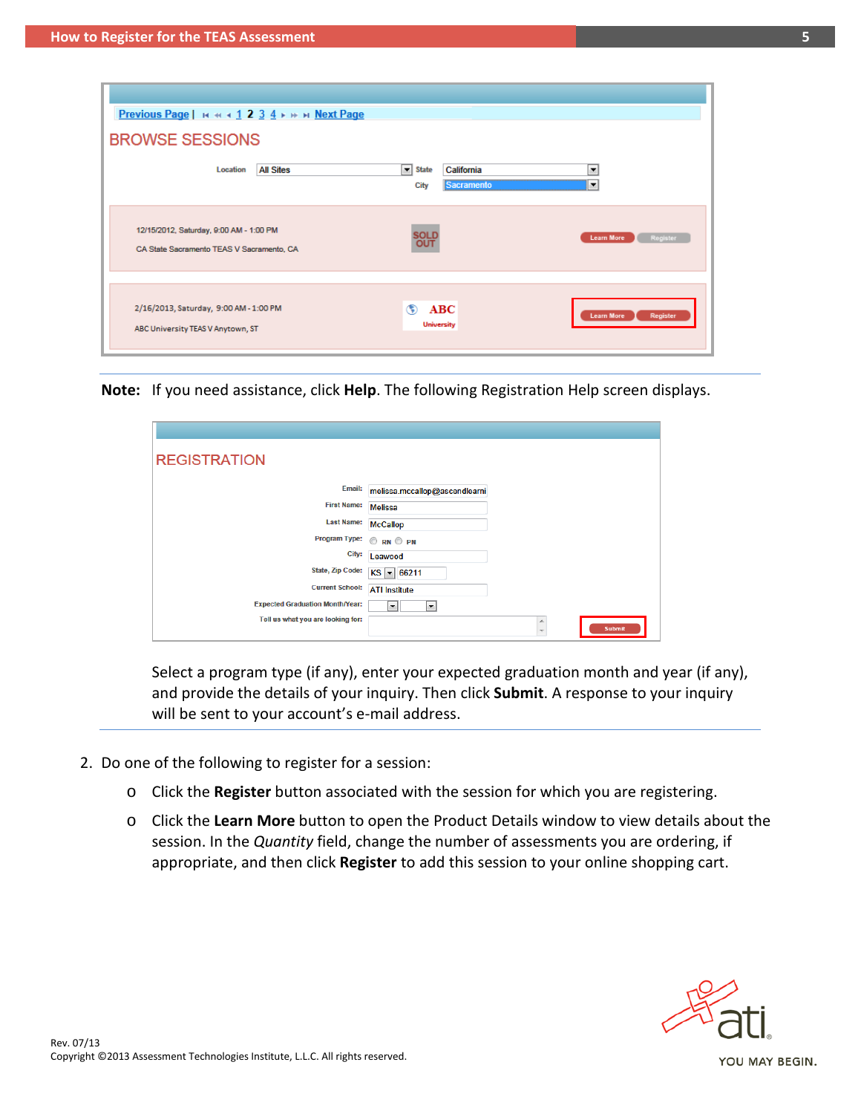| Previous Page   H + + + 1 2 3 4 + + + Next Page                                                                                               |
|-----------------------------------------------------------------------------------------------------------------------------------------------|
| <b>BROWSE SESSIONS</b>                                                                                                                        |
| <b>All Sites</b><br>≖<br>California<br><b>State</b><br>۰<br><b>Location</b><br>▾<br>Sacramento<br>City                                        |
| 12/15/2012, Saturday, 9:00 AM - 1:00 PM<br><b>SOLD</b><br><b>Learn More</b><br>Register<br>CA State Sacramento TEAS V Sacramento, CA          |
| 2/16/2013, Saturday, 9:00 AM - 1:00 PM<br>◈<br>ABC<br>Register<br><b>Learn More</b><br><b>University</b><br>ABC University TEAS V Anytown, ST |

**Note:** If you need assistance, click **Help**. The following Registration Help screen displays.

| <b>REGISTRATION</b>                    |                               |   |               |
|----------------------------------------|-------------------------------|---|---------------|
| Email:                                 | melissa.mccallop@ascendlearni |   |               |
| <b>First Name:</b>                     | <b>Melissa</b>                |   |               |
| <b>Last Name:</b>                      | <b>McCallop</b>               |   |               |
| <b>Program Type:</b>                   | ORN OPN                       |   |               |
| City:                                  | Leawood                       |   |               |
| <b>State, Zip Code:</b>                | $KS = 66211$                  |   |               |
| <b>Current School:</b>                 | <b>ATI Institute</b>          |   |               |
| <b>Expected Graduation Month/Year:</b> | $\overline{\phantom{a}}$<br>▼ |   |               |
| Tell us what you are looking for:      |                               | ∸ | <b>Submit</b> |
|                                        |                               |   |               |

Select a program type (if any), enter your expected graduation month and year (if any), and provide the details of your inquiry. Then click **Submit**. A response to your inquiry will be sent to your account's e-mail address.

- 2. Do one of the following to register for a session:
	- o Click the **Register** button associated with the session for which you are registering.
	- o Click the **Learn More** button to open the Product Details window to view details about the session. In the *Quantity* field, change the number of assessments you are ordering, if appropriate, and then click **Register** to add this session to your online shopping cart.

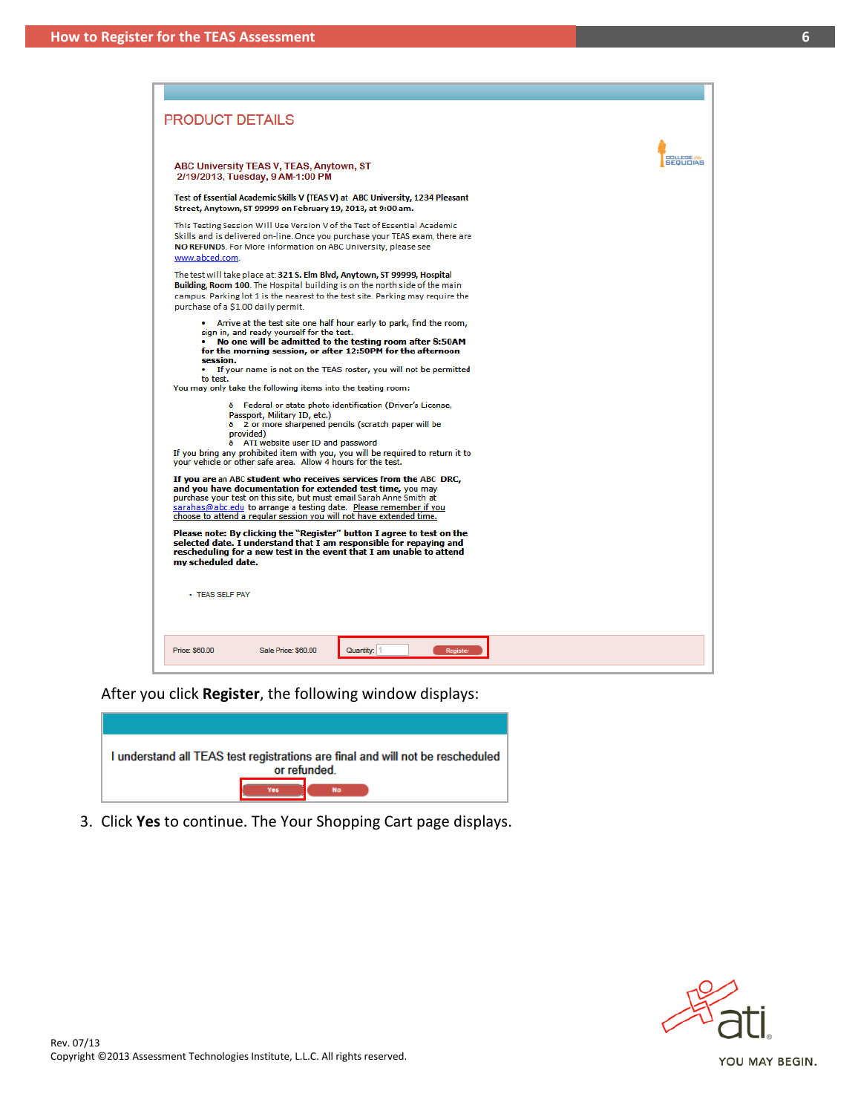| ABC University TEAS V, TEAS, Anytown, ST                                                                                                                                                                                                                                                                                                                                             |                    |
|--------------------------------------------------------------------------------------------------------------------------------------------------------------------------------------------------------------------------------------------------------------------------------------------------------------------------------------------------------------------------------------|--------------------|
| 2/19/2013, Tuesday, 9 AM-1:00 PM                                                                                                                                                                                                                                                                                                                                                     | <b>OOLLEGE WAS</b> |
| Test of Essential Academic Skills V (TEAS V) at ABC University, 1234 Pleasant<br>Street, Anytown, ST 99999 on February 19, 2013, at 9:00 am.                                                                                                                                                                                                                                         |                    |
| This Testing Session Will Use Version V of the Test of Essential Academic<br>Skills and is delivered on-line. Once you purchase your TEAS exam, there are<br>NO REFUNDS. For More Information on ABC University, please see                                                                                                                                                          |                    |
| The test will take place at: 321 S. Elm Blvd, Anytown, ST 99999, Hospital<br>Building, Room 100. The Hospital building is on the north side of the main<br>campus. Parking lot 1 is the nearest to the test site. Parking may require the<br>purchase of a \$1.00 daily permit.                                                                                                      |                    |
| • Arrive at the test site one half hour early to park, find the room,<br>sign in, and ready yourself for the test.<br>• No one will be admitted to the testing room after 8:50AM<br>for the morning session, or after 12:50PM for the afternoon<br>If your name is not on the TEAS roster, you will not be permitted<br>You may only take the following items into the testing room: |                    |
| 8 Federal or state photo identification (Driver's License,<br>Passport, Military ID, etc.)<br>ð 2 or more sharpened pencils (scratch paper will be<br>provided)<br>ð ATI website user ID and password<br>If you bring any prohibited item with you, you will be required to return it to<br>your vehicle or other safe area. Allow 4 hours for the test.                             |                    |
| If you are an ABC student who receives services from the ABC DRC,<br>and you have documentation for extended test time, you may<br>purchase your test on this site, but must email Sarah Anne Smith at<br>sarahas@abc.edu to arrange a testing date. Please remember if you<br>choose to attend a regular session you will not have extended time.                                   |                    |
| Please note: By clicking the "Register" button I agree to test on the<br>selected date. I understand that I am responsible for repaying and<br>rescheduling for a new test in the event that I am unable to attend<br>my scheduled date.                                                                                                                                             |                    |
| - TEAS SELF PAY                                                                                                                                                                                                                                                                                                                                                                      |                    |
|                                                                                                                                                                                                                                                                                                                                                                                      |                    |

After you click **Register**, the following window displays:

| I understand all TEAS test registrations are final and will not be rescheduled<br>or refunded |
|-----------------------------------------------------------------------------------------------|
| <b>No</b>                                                                                     |

3. Click **Yes** to continue. The Your Shopping Cart page displays.

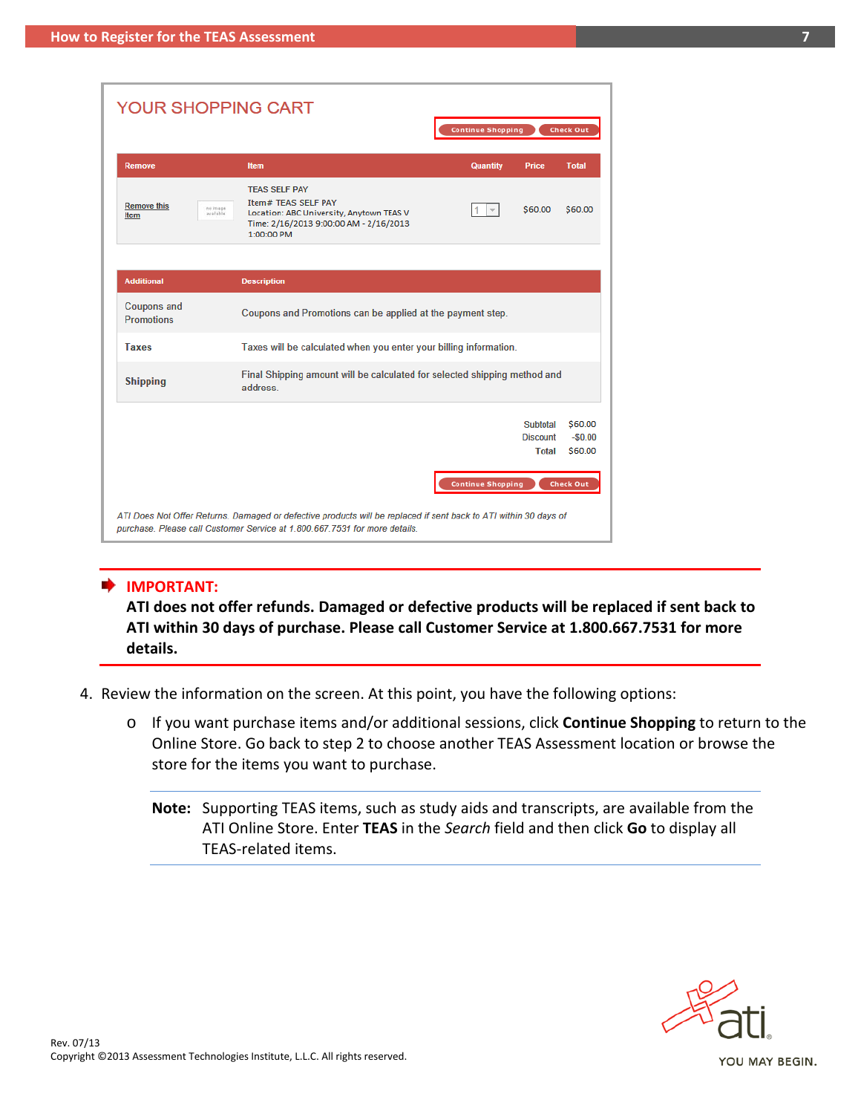| <b>YOUR SHOPPING CART</b>                           |                                                                                                                                                                                                |                                             |                                |
|-----------------------------------------------------|------------------------------------------------------------------------------------------------------------------------------------------------------------------------------------------------|---------------------------------------------|--------------------------------|
|                                                     |                                                                                                                                                                                                | <b>Continue Shopping</b>                    | <b>Check Out</b>               |
| <b>Remove</b>                                       | <b>Item</b>                                                                                                                                                                                    | <b>Quantity</b><br>Price                    | <b>Total</b>                   |
| <b>Remove this</b><br>no image<br>available<br>Item | <b>TEAS SELF PAY</b><br><b>Item# TEAS SELF PAY</b><br>Location: ABC University, Anytown TEAS V<br>Time: 2/16/2013 9:00:00 AM - 2/16/2013<br>1:00:00 PM                                         | \$60.00<br>1                                | \$60.00                        |
| <b>Additional</b>                                   | <b>Description</b>                                                                                                                                                                             |                                             |                                |
| <b>Coupons and</b><br><b>Promotions</b>             | Coupons and Promotions can be applied at the payment step.                                                                                                                                     |                                             |                                |
| <b>Taxes</b>                                        | Taxes will be calculated when you enter your billing information.                                                                                                                              |                                             |                                |
| <b>Shipping</b>                                     | Final Shipping amount will be calculated for selected shipping method and<br>address.                                                                                                          |                                             |                                |
|                                                     |                                                                                                                                                                                                | Subtotal<br><b>Discount</b><br><b>Total</b> | \$60.00<br>$-50.00$<br>\$60.00 |
|                                                     |                                                                                                                                                                                                | <b>Continue Shopping</b>                    | <b>Check Out</b>               |
|                                                     | ATI Does Not Offer Returns. Damaged or defective products will be replaced if sent back to ATI within 30 days of<br>purchase. Please call Customer Service at 1.800.667.7531 for more details. |                                             |                                |

#### **IMPORTANT:**

**ATI does not offer refunds. Damaged or defective products will be replaced if sent back to ATI within 30 days of purchase. Please call Customer Service at 1.800.667.7531 for more details.**

- 4. Review the information on the screen. At this point, you have the following options:
	- o If you want purchase items and/or additional sessions, click **Continue Shopping** to return to the Online Store. Go back to step 2 to choose another TEAS Assessment location or browse the store for the items you want to purchase.
		- **Note:** Supporting TEAS items, such as study aids and transcripts, are available from the ATI Online Store. Enter **TEAS** in the *Search* field and then click **Go** to display all TEAS-related items.

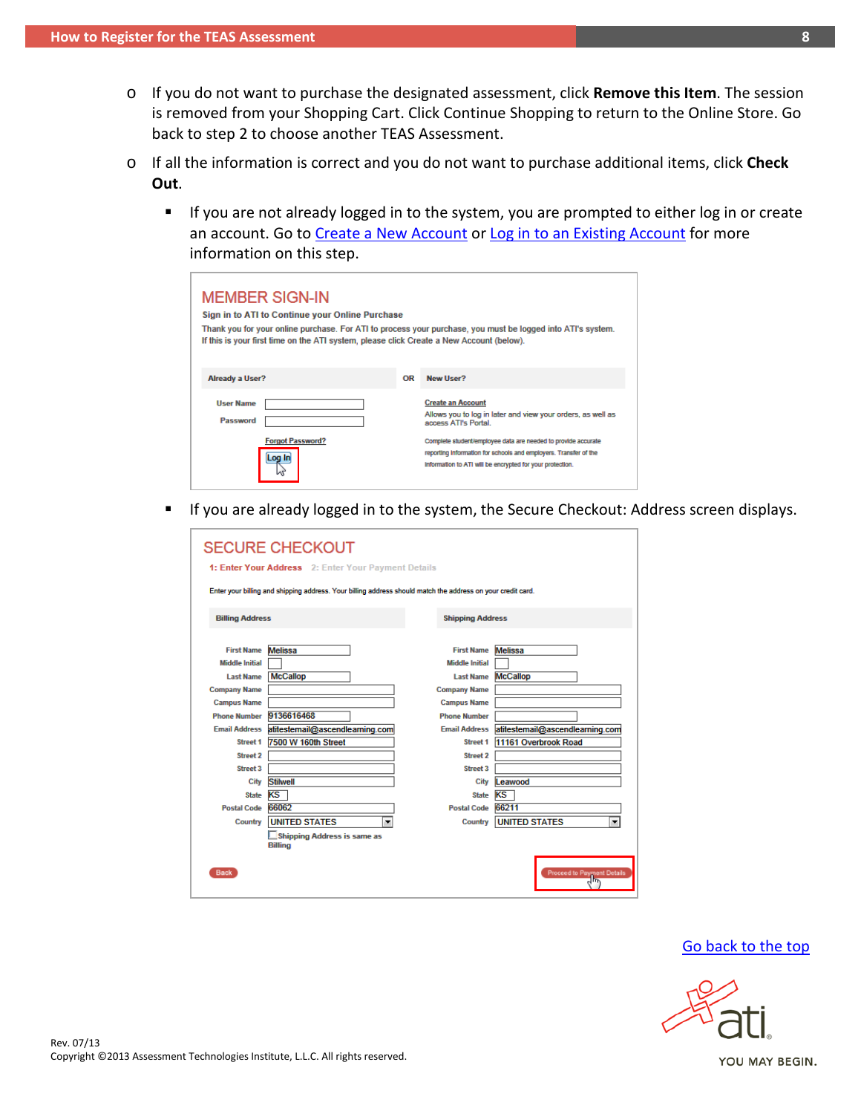- o If you do not want to purchase the designated assessment, click **Remove this Item**. The session is removed from your Shopping Cart. Click Continue Shopping to return to the Online Store. Go back to step 2 to choose another TEAS Assessment.
- o If all the information is correct and you do not want to purchase additional items, click **Check Out**.
	- **If you are not already logged in to the system, you are prompted to either log in or create** an account. Go to [Create a New Account](#page-0-0) or [Log in to an Existing Account](#page-2-0) for more information on this step.

| <b>MEMBER SIGN-IN</b><br>Sign in to ATI to Continue your Online Purchase<br>If this is your first time on the ATI system, please click Create a New Account (below). | Thank you for your online purchase. For ATI to process your purchase, you must be logged into ATI's system. |                                                                                                                                                                                                                                                                                                                   |
|----------------------------------------------------------------------------------------------------------------------------------------------------------------------|-------------------------------------------------------------------------------------------------------------|-------------------------------------------------------------------------------------------------------------------------------------------------------------------------------------------------------------------------------------------------------------------------------------------------------------------|
| <b>Already a User?</b>                                                                                                                                               | OR                                                                                                          | New User?                                                                                                                                                                                                                                                                                                         |
| <b>User Name</b><br>Password<br><b>Forgot Password?</b><br>Loa In                                                                                                    |                                                                                                             | <b>Create an Account</b><br>Allows you to log in later and view your orders, as well as<br>access ATI's Portal.<br>Complete student/employee data are needed to provide accurate<br>reporting information for schools and employers. Transfer of the<br>information to ATI will be encrypted for your protection. |

If you are already logged in to the system, the Secure Checkout: Address screen displays.

<span id="page-7-0"></span>

| <b>SECURE CHECKOUT</b><br>1: Enter Your Address 2: Enter Your Payment Details                               |                                                      |                         |                                          |  |  |
|-------------------------------------------------------------------------------------------------------------|------------------------------------------------------|-------------------------|------------------------------------------|--|--|
| Enter your billing and shipping address. Your billing address should match the address on your credit card. |                                                      |                         |                                          |  |  |
|                                                                                                             |                                                      |                         |                                          |  |  |
| <b>Billing Address</b>                                                                                      |                                                      | <b>Shipping Address</b> |                                          |  |  |
|                                                                                                             |                                                      |                         |                                          |  |  |
| <b>First Name</b>                                                                                           | <b>Melissa</b>                                       | <b>First Name</b>       | <b>Melissa</b>                           |  |  |
| <b>Middle Initial</b>                                                                                       |                                                      | <b>Middle Initial</b>   |                                          |  |  |
| <b>Last Name</b>                                                                                            | <b>McCallop</b>                                      | <b>Last Name</b>        | <b>McCallop</b>                          |  |  |
| <b>Company Name</b>                                                                                         |                                                      | <b>Company Name</b>     |                                          |  |  |
| <b>Campus Name</b>                                                                                          |                                                      | <b>Campus Name</b>      |                                          |  |  |
| <b>Phone Number</b>                                                                                         | 9136616468                                           | <b>Phone Number</b>     |                                          |  |  |
| <b>Email Address</b>                                                                                        | atitestemail@ascendlearning.com                      | <b>Email Address</b>    | atitestemail@ascendlearning.com          |  |  |
| <b>Street 1</b>                                                                                             | 7500 W 160th Street                                  | <b>Street 1</b>         | 11161 Overbrook Road                     |  |  |
| Street 2                                                                                                    |                                                      | <b>Street 2</b>         |                                          |  |  |
| <b>Street 3</b>                                                                                             |                                                      | Street 3                |                                          |  |  |
| City                                                                                                        | <b>Stilwell</b>                                      | City                    | Leawood                                  |  |  |
| <b>State</b>                                                                                                | KS                                                   | <b>State</b>            | KS                                       |  |  |
| <b>Postal Code</b>                                                                                          | 66062                                                | <b>Postal Code</b>      | 66211                                    |  |  |
| <b>Country</b>                                                                                              | <b>UNITED STATES</b><br>۰                            | Country                 | <b>UNITED STATES</b><br>▼                |  |  |
|                                                                                                             | <b>Shipping Address is same as</b><br><b>Billing</b> |                         |                                          |  |  |
| <b>Back</b>                                                                                                 |                                                      |                         | <b>Proceed to Payment Details</b><br>س س |  |  |

#### [Go back to the top](#page-0-1)

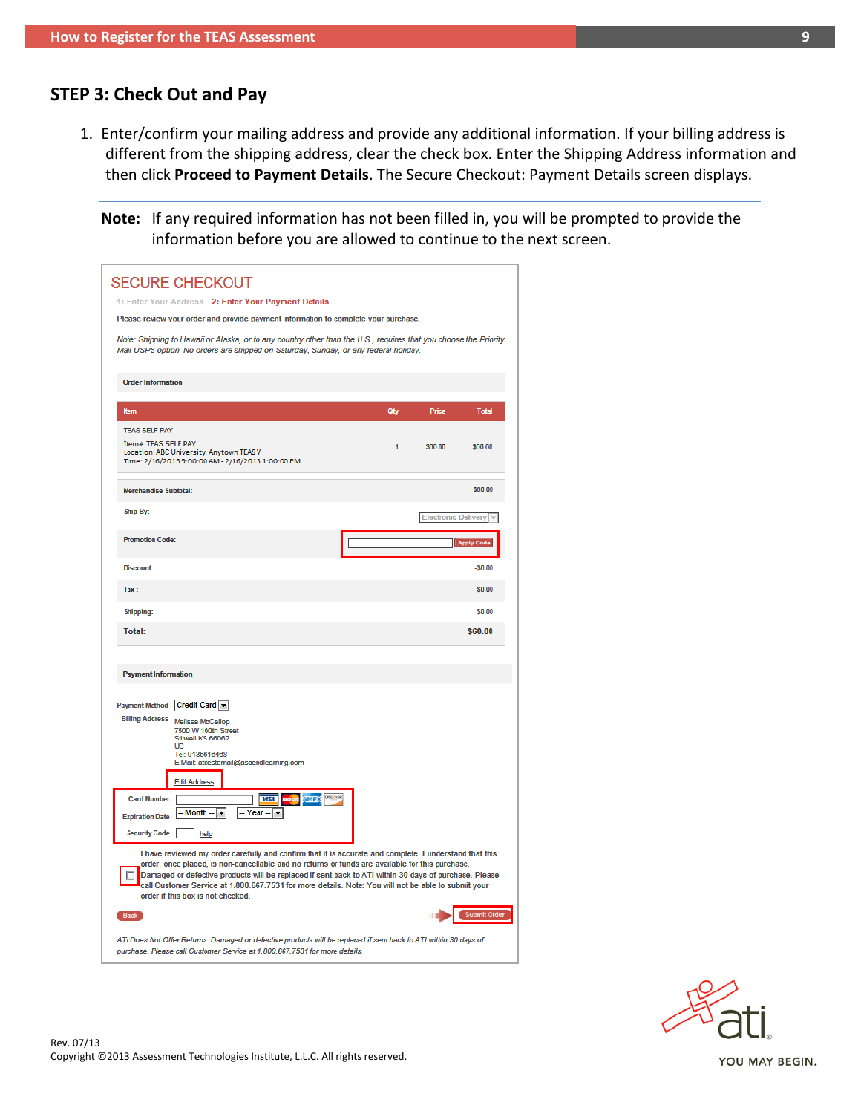# **STEP 3: Check Out and Pay**

1. Enter/confirm your mailing address and provide any additional information. If your billing address is different from the shipping address, clear the check box. Enter the Shipping Address information and then click **Proceed to Payment Details**. The Secure Checkout: Payment Details screen displays.

**Note:** If any required information has not been filled in, you will be prompted to provide the information before you are allowed to continue to the next screen.

| <b>SECURE CHECKOUT</b>                                                                                                                                                                                                                                                                                                                                                                                                                                          |     |                            |                   |
|-----------------------------------------------------------------------------------------------------------------------------------------------------------------------------------------------------------------------------------------------------------------------------------------------------------------------------------------------------------------------------------------------------------------------------------------------------------------|-----|----------------------------|-------------------|
| 1: Enter Your Address 2: Enter Your Payment Details                                                                                                                                                                                                                                                                                                                                                                                                             |     |                            |                   |
| Please review your order and provide payment information to complete your purchase.                                                                                                                                                                                                                                                                                                                                                                             |     |                            |                   |
| Note: Shipping to Hawaii or Alaska, or to any country other than the U.S., requires that you choose the Priority<br>Mail USPS option. No orders are shipped on Saturday, Sunday, or any federal holiday.                                                                                                                                                                                                                                                        |     |                            |                   |
| <b>Order Information</b>                                                                                                                                                                                                                                                                                                                                                                                                                                        |     |                            |                   |
| <b>Item</b>                                                                                                                                                                                                                                                                                                                                                                                                                                                     | Qty | Price                      | <b>Total</b>      |
| <b>TEAS SELF PAY</b>                                                                                                                                                                                                                                                                                                                                                                                                                                            |     |                            |                   |
| Item# TEAS SELF PAY<br>Location: ABC University, Anytown TEAS V<br>Time: 2/16/2013 9:00:00 AM - 2/16/2013 1:00:00 PM                                                                                                                                                                                                                                                                                                                                            | 1   | \$60.00                    | \$60.00           |
| <b>Merchandise Subtotal:</b>                                                                                                                                                                                                                                                                                                                                                                                                                                    |     |                            | \$60.00           |
| Ship By:                                                                                                                                                                                                                                                                                                                                                                                                                                                        |     | <b>Electronic Delivery</b> |                   |
| <b>Promotion Code:</b>                                                                                                                                                                                                                                                                                                                                                                                                                                          |     |                            | <b>Apply Code</b> |
| <b>Discount:</b>                                                                                                                                                                                                                                                                                                                                                                                                                                                |     |                            | $-50.00$          |
| Tax:                                                                                                                                                                                                                                                                                                                                                                                                                                                            |     |                            | $sin \theta$      |
| <b>Shipping:</b>                                                                                                                                                                                                                                                                                                                                                                                                                                                |     |                            | \$0.00            |
| <b>Total:</b>                                                                                                                                                                                                                                                                                                                                                                                                                                                   |     |                            | \$60.00           |
| <b>Payment Information</b><br>Payment Method Credit Card<br><b>Billing Address Melissa McCallop</b><br>7500 W 160th Street<br>Stilwell KS 66062<br><b>US</b><br>Tel: 9136616468<br>E-Mail: atitestemail@ascendlearning.com<br><b>Edit Address</b><br><b>DISCOVER</b><br><b>Card Number</b><br><b>VISA</b><br><b>AMEX</b><br><b>Month</b><br>Year $ \blacktriangledown$<br>۰<br><b>Expiration Date</b><br><b>Security Code</b><br>help                           |     |                            |                   |
| I have reviewed my order carefully and confirm that it is accurate and complete. I understand that this<br>order, once placed, is non-cancellable and no returns or funds are available for this purchase.<br>Damaged or defective products will be replaced if sent back to ATI within 30 days of purchase. Please<br>call Customer Service at 1.800.667.7531 for more details. Note: You will not be able to submit your<br>order if this box is not checked. |     |                            |                   |
| <b>Back</b>                                                                                                                                                                                                                                                                                                                                                                                                                                                     |     |                            | Submit Order      |
| ATI Does Not Offer Returns. Damaged or defective products will be replaced if sent back to ATI within 30 days of<br>purchase. Please call Customer Service at 1.800.667.7531 for more details.                                                                                                                                                                                                                                                                  |     |                            |                   |

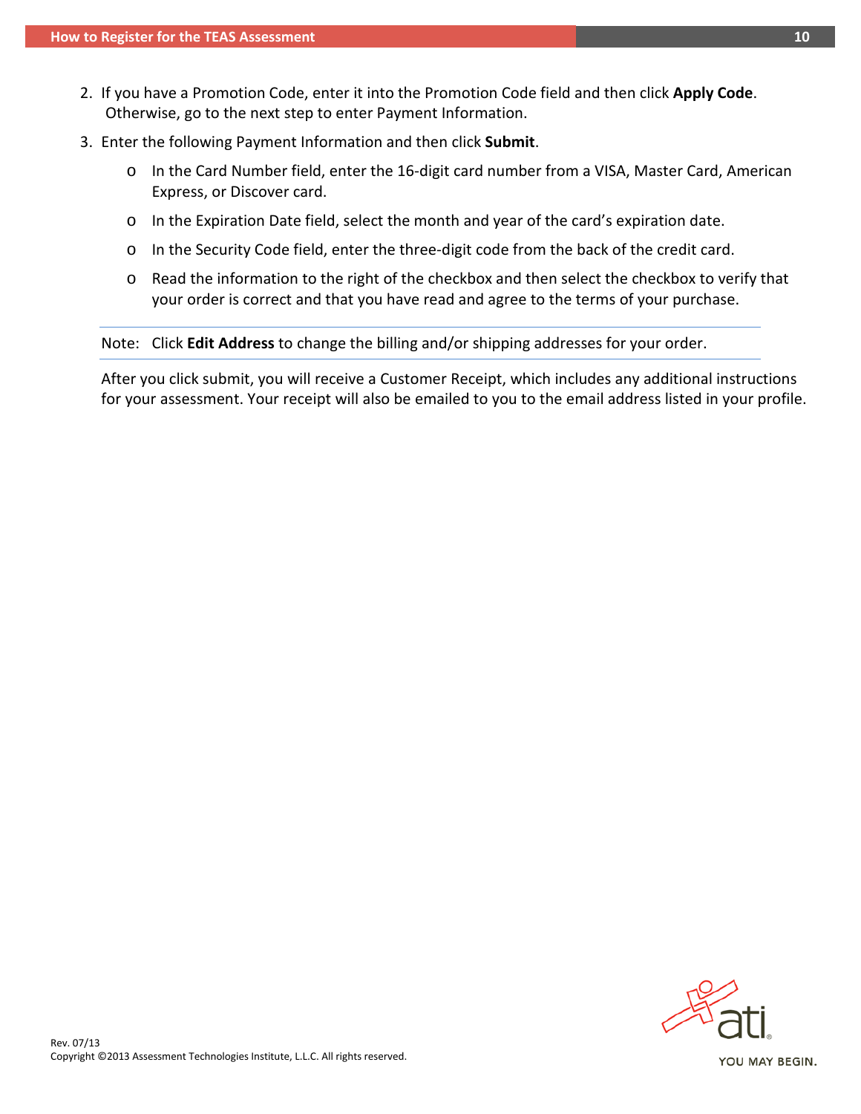- 2. If you have a Promotion Code, enter it into the Promotion Code field and then click **Apply Code**. Otherwise, go to the next step to enter Payment Information.
- 3. Enter the following Payment Information and then click **Submit**.
	- o In the Card Number field, enter the 16-digit card number from a VISA, Master Card, American Express, or Discover card.
	- o In the Expiration Date field, select the month and year of the card's expiration date.
	- o In the Security Code field, enter the three-digit code from the back of the credit card.
	- o Read the information to the right of the checkbox and then select the checkbox to verify that your order is correct and that you have read and agree to the terms of your purchase.

Note: Click **Edit Address** to change the billing and/or shipping addresses for your order.

After you click submit, you will receive a Customer Receipt, which includes any additional instructions for your assessment. Your receipt will also be emailed to you to the email address listed in your profile.



Rev. 07/13<br>Copyright ©2013 Assessment Technologies Institute, L.L.C. All rights reserved.

YOU MAY BEGIN.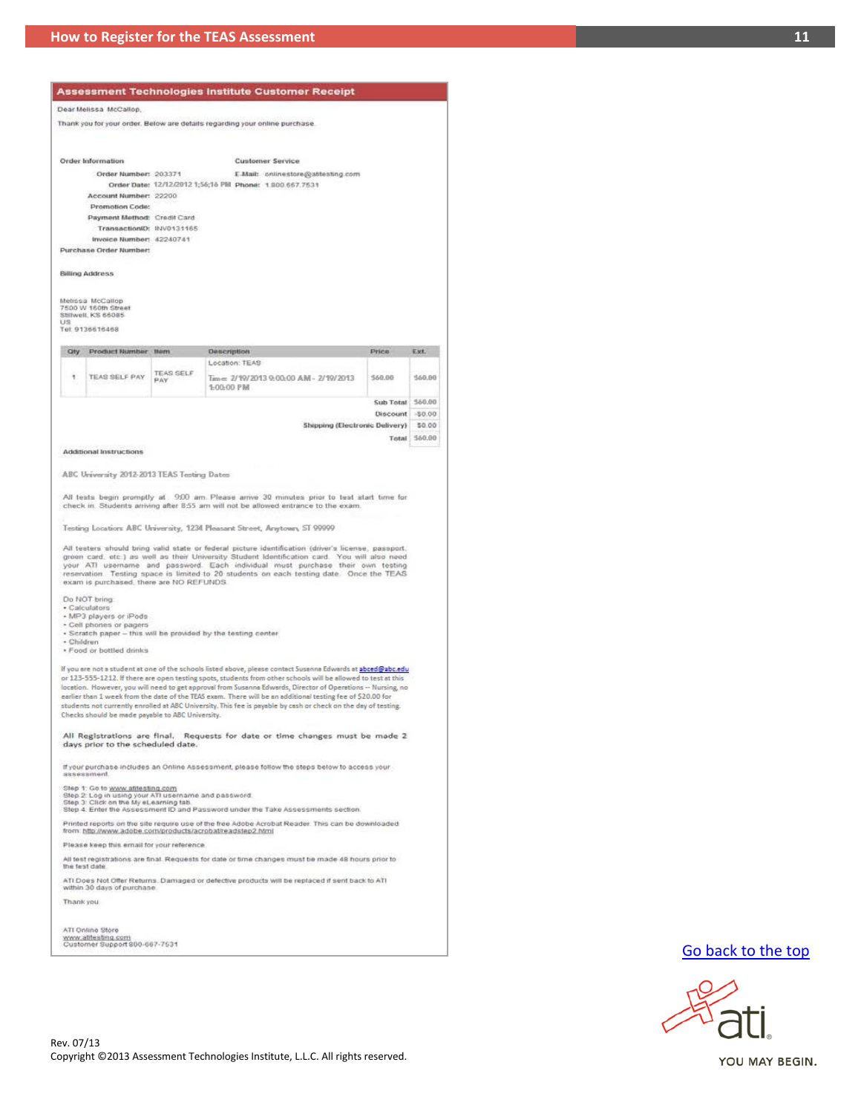#### Dear Melissa McCallop

Thank you for your order. Below are details regarding your online purchase.

Order Information **Customer Service** Order Number: 203371 E-Mail: onlinestore@attesting.com Order Date: 12/12/2012 1;56;16 PM Phone: 1.800.667.7531 Account Number: 22200 Promotion Code: Payment Method: Credit Card Transaction(D: INV0131165 Invoice Number: 42240741 Purchase Order Number: **Billing Address** Melissa McCallop<br>7500 W 160th Street<br>Stillwell, KS 66085 US<br>Tel: 9136616468 Oty Product Number Nem Description Price Ext.

| TEAS SELF PAY | <b>TEAS SELF</b><br>PAY | Location: TEAS<br>Time: 2/19/2013 9:00:00 AM - 2/19/2013 | 560.00    | 560.00     |
|---------------|-------------------------|----------------------------------------------------------|-----------|------------|
|               |                         | 1:00:00 PM                                               | Sub Total | $-9,60,00$ |

Discount 50.00 Shipping (Electronic Delivery) \$0.00 Total \$60.00

**Additional Instructions** 

ABC University 2012-2013 TEAS Testing Dates

All tests begin promptly at 900 am. Please arrive 30 minutes prior to test start time for check in. Students arriving after 8.55 am will not be allowed entrance to the exam.

Testing Location: ABC University, 1234 Pleasant Street, Anytown, ST 99999

All testers should bring valid state or federal picture identification (driver's license, passport, green card, etc.) as well as their University Student Identification card. You will also need your ATI username and passwo

Do NOT bring

- + Calculators<br>+ MP3 players or iPods
- Cell phones or pagers
- . Scratch paper this will be provided by the testing center

- Children · Food or bottled drinks

If you are not a student at one of the schools listed above, please contact Susanna Edwards at abced@abc.edu or 123-555-1212. If there are open testing spots, students from other schools will be allowed to test at this<br>location. However, you will need to get approval from Susanna Edwards, Director of Operations -- Nursing, no earlier than 1 week from the date of the TEAS exam. There will be an additional testing fee of \$20.00 for students not currently enrolled at ABC University. This fee is payable by cash or check on the day of testing. Checks should be made payable to ABC University.

All Registrations are final. Requests for date or time changes must be made 2 days prior to the scheduled date.

If your purchase includes an Online Assessment, please follow the steps below to access your

Step 1: Go to <u>www.atilesting.com</u><br>Step 2: Log in using your ATI username and password.<br>Step 3: Click on the My eLearning tab.<br>Step 4: Enter the Assessment ID and Password under the Take Assessments section.

Printed reports on the site require use of the free Adobe Acrobat Reader. This can be downloaded<br>from: http://www.adobe.com/products/acrobat/readstep2.html

Please keep this email for your reference

All test registrations are final. Requests for date or time changes must be made 48 hours prior to the fest date

ATI Does Not Offer Returns. Damaged or defective products will be replaced if sent back to ATI<br>within 30 days of purchase.

Thank you

ATI Online Store www.atitesting.com<br>Customer Support 800-667-7531

#### [Go back to the top](#page-0-1)



YOU MAY BEGIN.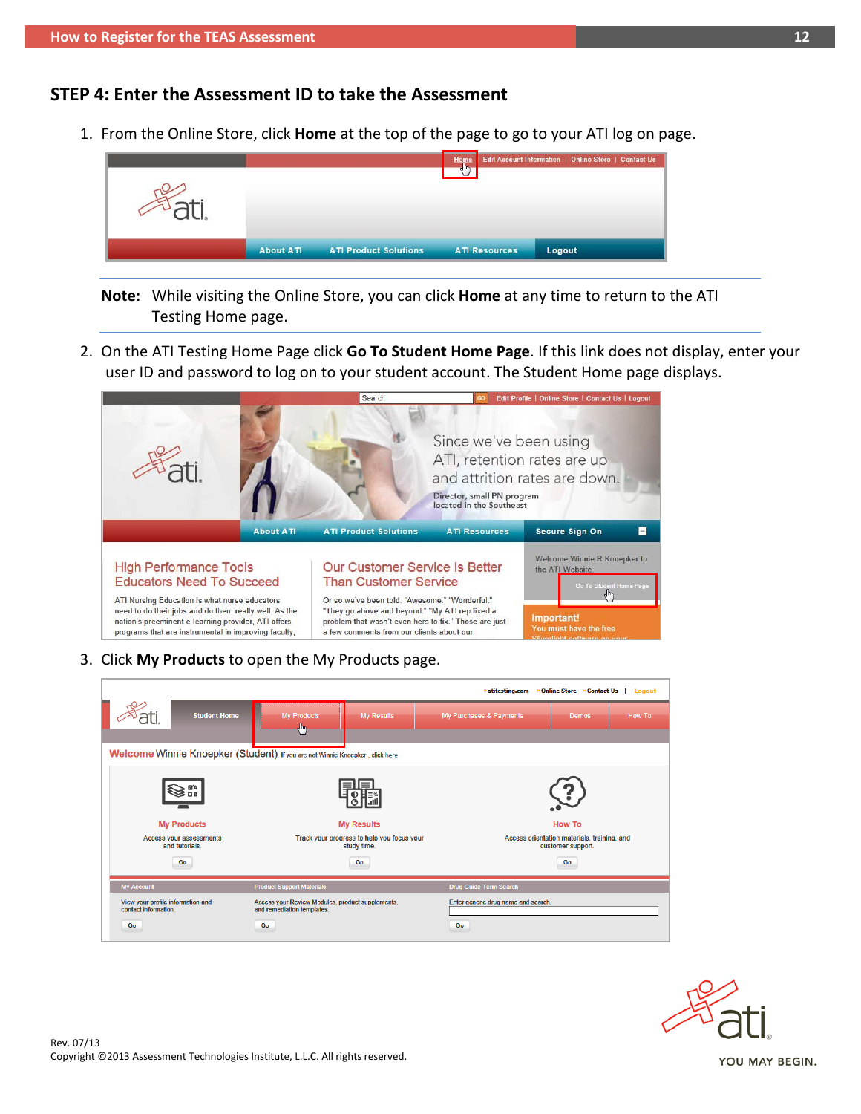# <span id="page-11-0"></span>**STEP 4: Enter the Assessment ID to take the Assessment**

1. From the Online Store, click **Home** at the top of the page to go to your ATI log on page.



- **Note:** While visiting the Online Store, you can click **Home** at any time to return to the ATI Testing Home page.
- 2. On the ATI Testing Home Page click **Go To Student Home Page**. If this link does not display, enter your user ID and password to log on to your student account. The Student Home page displays.



3. Click **My Products** to open the My Products page.

| »Online Store »Contact Us   Logout<br>» atitesting.com                          |                     |                                                                                      |                                                           |                                                                  |                                     |               |               |  |  |  |
|---------------------------------------------------------------------------------|---------------------|--------------------------------------------------------------------------------------|-----------------------------------------------------------|------------------------------------------------------------------|-------------------------------------|---------------|---------------|--|--|--|
|                                                                                 | <b>Student Home</b> | <b>My Products</b><br>رمان                                                           | <b>My Results</b>                                         | My Purchases & Payments                                          |                                     | <b>Demos</b>  | <b>How To</b> |  |  |  |
|                                                                                 |                     | Welcome Winnie Knoepker (Student). If you are not Winnie Knoepker, click here        |                                                           |                                                                  |                                     |               |               |  |  |  |
|                                                                                 |                     |                                                                                      |                                                           |                                                                  |                                     |               |               |  |  |  |
| <b>My Products</b>                                                              |                     |                                                                                      | <b>My Results</b>                                         |                                                                  |                                     | <b>How To</b> |               |  |  |  |
| Access your assessments<br>and tutorials.                                       |                     |                                                                                      | Track your progress to help you focus your<br>study time. | Access orientation materials, training, and<br>customer support. |                                     |               |               |  |  |  |
| Go                                                                              |                     |                                                                                      | Go                                                        | Go                                                               |                                     |               |               |  |  |  |
| <b>My Account</b><br><b>Product Support Materials</b><br>Drug Guide Term Search |                     |                                                                                      |                                                           |                                                                  |                                     |               |               |  |  |  |
| View your profile information and<br>contact information.<br>Go                 |                     | Access your Review Modules, product supplements,<br>and remediation templates.<br>Go |                                                           | Go                                                               | Enter generic drug name and search. |               |               |  |  |  |